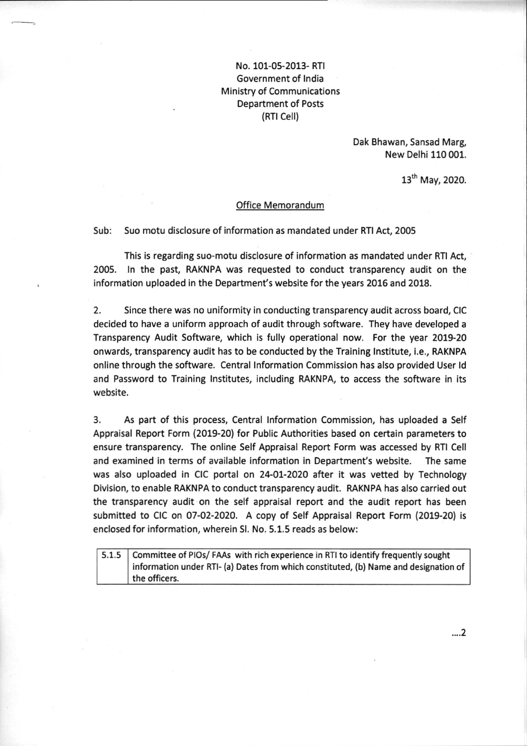## No. 101-05-2013- RTI Government of lndia Ministry of Communications Department of Posts (RTl Cell)

Dak Bhawan, Sansad Marg, New Delhi 110 001.

13th May, 2020.

## Office Memorandum

Sub: Suo motu disclosure of information as mandated under RTI Act, <sup>2005</sup>

This is regarding suo-motu disclosure of information as mandated under RTI Act, 2005. ln the past, RAKNPA was requested to conduct transparency audit on the information uploaded in the Department's website for the years 2016 and 2018.

2. Since there was no uniformity in conducting transparency audit across board, CIC decided to have a uniform approach of audit through software. They have developed <sup>a</sup> Transparency Audit Software, which is fully operational now. For the year 2019-20 onwards, transparency audit has to be conducted by the Training lnstitute, i.e., RAKNPA online through the software. Central lnformation Commission has also provided User ld and Password to Training lnstitutes, including RAKNPA, to access the software in its website.

3. As part of this process, Central lnformation Commission, has uploaded a Self Appraisal Report Form (2019-20) for Public Authorities based on certain parameters to ensure transparency. The online Self Appraisal Report Form was accessed by RTI Cell and examined in terms of available information in Department's website. The same was also uploaded in CIC portal on 24-01-2020 after it was vetted by Technology Division, to enable RAKNPA to conduct transparency audit. RAKNPA has also carried out the transparency audit on the self appraisal report and the audit report has been submitted to CIC on 07-02-2020. A copy of Self Appraisal Report Form (2019-20) is enclosed for information, wherein Sl. No. 5.1.5 reads as below:

|  | 5.1.5 Committee of PIOs/ FAAs with rich experience in RTI to identify frequently sought |
|--|-----------------------------------------------------------------------------------------|
|  | information under RTI- (a) Dates from which constituted, (b) Name and designation of    |
|  | the officers.                                                                           |

,..2